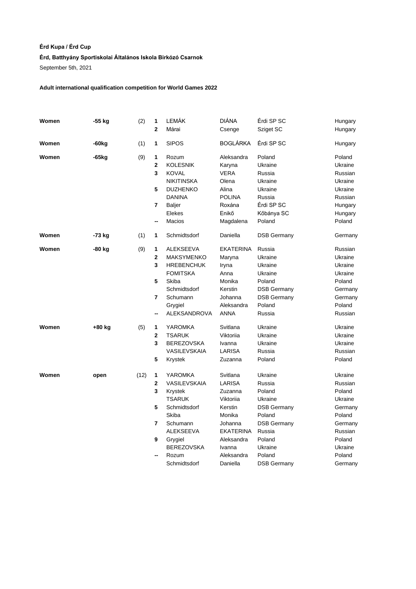# **Érd Kupa / Érd Cup**

### **Érd, Batthyány Sportiskolai Általános Iskola Birkózó Csarnok**

September 5th, 2021

## **Adult international qualification competition for World Games 2022**

| Women | -55 kg            | (2)  | 1                       | LEMÁK               | <b>DIÁNA</b>     | Érdi SP SC         | Hungary |
|-------|-------------------|------|-------------------------|---------------------|------------------|--------------------|---------|
|       |                   |      | $\mathbf{2}$            | Márai               | Csenge           | Sziget SC          | Hungary |
| Women | -60 <sub>kg</sub> | (1)  | 1                       | <b>SIPOS</b>        | <b>BOGLÁRKA</b>  | Érdi SP SC         | Hungary |
| Women | -65 <sub>kg</sub> | (9)  | 1                       | Rozum               | Aleksandra       | Poland             | Poland  |
|       |                   |      | 2                       | <b>KOLESNIK</b>     | Karyna           | Ukraine            | Ukraine |
|       |                   |      | 3                       | <b>KOVAL</b>        | <b>VERA</b>      | Russia             | Russian |
|       |                   |      |                         | <b>NIKITINSKA</b>   | Olena            | Ukraine            | Ukraine |
|       |                   |      | 5                       | <b>DUZHENKO</b>     | Alina            | Ukraine            | Ukraine |
|       |                   |      |                         | <b>DANINA</b>       | <b>POLINA</b>    | Russia             | Russian |
|       |                   |      | 7                       | <b>Baljer</b>       | Roxána           | Érdi SP SC         | Hungary |
|       |                   |      |                         | Elekes              | Enikő            | Kőbánya SC         | Hungary |
|       |                   |      | --                      | Macios              | Magdalena        | Poland             | Poland  |
| Women | -73 kg            | (1)  | 1                       | Schmidtsdorf        | Daniella         | <b>DSB Germany</b> | Germany |
| Women | -80 kg            | (9)  | 1                       | <b>ALEKSEEVA</b>    | <b>EKATERINA</b> | Russia             | Russian |
|       |                   |      | $\mathbf 2$             | <b>MAKSYMENKO</b>   | Maryna           | Ukraine            | Ukraine |
|       |                   |      | 3                       | <b>HREBENCHUK</b>   | Iryna            | Ukraine            | Ukraine |
|       |                   |      |                         | <b>FOMITSKA</b>     | Anna             | Ukraine            | Ukraine |
|       |                   |      | 5                       | Skiba               | Monika           | Poland             | Poland  |
|       |                   |      |                         | Schmidtsdorf        | Kerstin          | <b>DSB Germany</b> | Germany |
|       |                   |      | 7                       | Schumann            | Johanna          | <b>DSB Germany</b> | Germany |
|       |                   |      |                         | Grygiel             | Aleksandra       | Poland             | Poland  |
|       |                   |      | --                      | <b>ALEKSANDROVA</b> | <b>ANNA</b>      | Russia             | Russian |
| Women | +80 kg            | (5)  | 1                       | YAROMKA             | Svitlana         | Ukraine            | Ukraine |
|       |                   |      | $\mathbf 2$             | <b>TSARUK</b>       | Viktorija        | Ukraine            | Ukraine |
|       |                   |      | 3                       | <b>BEREZOVSKA</b>   | Ivanna           | Ukraine            | Ukraine |
|       |                   |      |                         | VASILEVSKAIA        | LARISA           | Russia             | Russian |
|       |                   |      | 5                       | Krystek             | Zuzanna          | Poland             | Poland  |
| Women | open              | (12) | 1                       | YAROMKA             | Svitlana         | Ukraine            | Ukraine |
|       |                   |      | $\overline{\mathbf{2}}$ | VASILEVSKAIA        | LARISA           | Russia             | Russian |
|       |                   |      | 3                       | Krystek             | Zuzanna          | Poland             | Poland  |
|       |                   |      |                         | <b>TSARUK</b>       | Viktoriia        | Ukraine            | Ukraine |
|       |                   |      | 5                       | Schmidtsdorf        | Kerstin          | <b>DSB Germany</b> | Germany |
|       |                   |      |                         | Skiba               | Monika           | Poland             | Poland  |
|       |                   |      | 7                       | Schumann            | Johanna          | <b>DSB Germany</b> | Germany |
|       |                   |      |                         | <b>ALEKSEEVA</b>    | <b>EKATERINA</b> | Russia             | Russian |
|       |                   |      | 9                       | Grygiel             | Aleksandra       | Poland             | Poland  |
|       |                   |      |                         | <b>BEREZOVSKA</b>   | Ivanna           | Ukraine            | Ukraine |
|       |                   |      | --                      | Rozum               | Aleksandra       | Poland             | Poland  |
|       |                   |      |                         | Schmidtsdorf        | Daniella         | DSB Germany        | Germany |